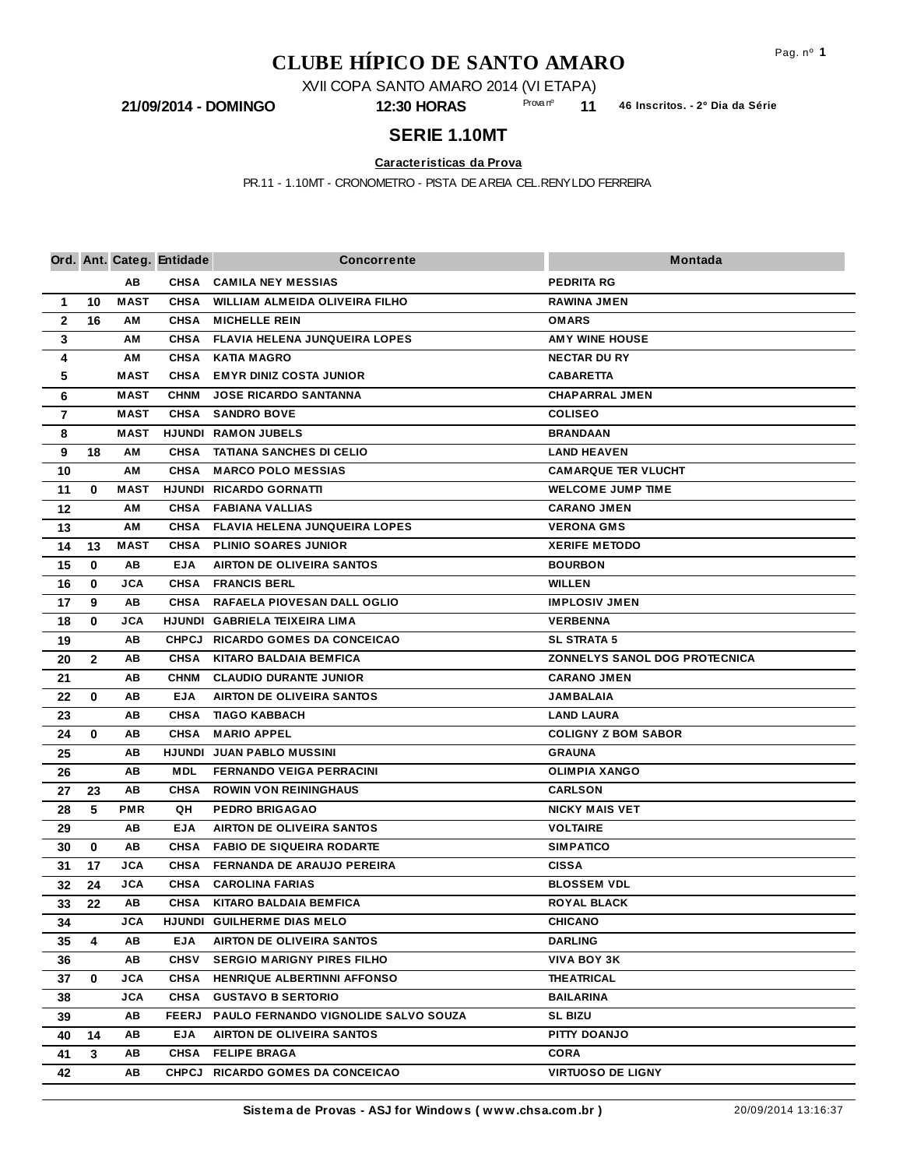## **CLUBE HÍPICO DE SANTO AMARO**

XVII COPA SANTO AMARO 2014 (VI ETAPA)

**11** Prova nº

**21/09/2014 - DOMINGO 12:30 HORAS 46 Inscritos. - 2º Dia da Série**

## **SERIE 1.10MT**

**Caracteristicas da Prova**

PR.11 - 1.10MT - CRONOMETRO - PISTA DE AREIA CEL.RENYLDO FERREIRA

|                |              |             | Ord. Ant. Categ. Entidade  | <b>Concorrente</b>                                                    | Montada                                 |
|----------------|--------------|-------------|----------------------------|-----------------------------------------------------------------------|-----------------------------------------|
|                |              | AB          |                            | CHSA CAMILA NEY MESSIAS                                               | <b>PEDRITA RG</b>                       |
| $\mathbf 1$    | 10           | <b>MAST</b> | <b>CHSA</b>                | WILLIAM ALMEIDA OLIVEIRA FILHO                                        | <b>RAWINA JMEN</b>                      |
| $\mathbf{2}$   | 16           | ΑМ          | <b>CHSA</b>                | <b>MICHELLE REIN</b>                                                  | <b>OMARS</b>                            |
| $\mathbf{3}$   |              | АM          | <b>CHSA</b>                | <b>FLAVIA HELENA JUNQUEIRA LOPES</b>                                  | <b>AMY WINE HOUSE</b>                   |
| 4              |              | АM          | <b>CHSA</b>                | <b>KATIA MAGRO</b>                                                    | <b>NECTAR DU RY</b>                     |
| 5              |              | <b>MAST</b> | <b>CHSA</b>                | <b>EMYR DINIZ COSTA JUNIOR</b>                                        | <b>CABARETTA</b>                        |
| 6              |              | <b>MAST</b> | <b>CHNM</b>                | <b>JOSE RICARDO SANTANNA</b>                                          | <b>CHAPARRAL JMEN</b>                   |
| $\overline{7}$ |              | <b>MAST</b> | <b>CHSA</b>                | <b>SANDRO BOVE</b>                                                    | <b>COLISEO</b>                          |
| 8              |              | <b>MAST</b> |                            | <b>HJUNDI RAMON JUBELS</b>                                            | <b>BRANDAAN</b>                         |
| 9              | 18           | AM          |                            | CHSA TATIANA SANCHES DI CELIO                                         | <b>LAND HEAVEN</b>                      |
| 10             |              | AM          | <b>CHSA</b>                | <b>MARCO POLO MESSIAS</b>                                             | <b>CAMARQUE TER VLUCHT</b>              |
| 11             | $\bf{0}$     | <b>MAST</b> |                            | HJUNDI RICARDO GORNATTI                                               | <b>WELCOME JUMP TIME</b>                |
| 12             |              | АM          | <b>CHSA</b>                | <b>FABIANA VALLIAS</b>                                                | <b>CARANO JMEN</b>                      |
| 13             |              | ΑМ          | <b>CHSA</b>                | <b>FLAVIA HELENA JUNQUEIRA LOPES</b>                                  | <b>VERONA GMS</b>                       |
| 14             | 13           | <b>MAST</b> | <b>CHSA</b>                | <b>PLINIO SOARES JUNIOR</b>                                           | <b>XERIFE METODO</b>                    |
| 15             | $\bf{0}$     | AВ          | <b>EJA</b>                 | <b>AIRTON DE OLIVEIRA SANTOS</b>                                      | <b>BOURBON</b>                          |
| 16             | 0            | <b>JCA</b>  | <b>CHSA</b>                | <b>FRANCIS BERL</b>                                                   | <b>WILLEN</b>                           |
| 17             | 9            | AВ          | <b>CHSA</b>                | RAFAELA PIOVESAN DALL OGLIO                                           | <b>IMPLOSIV JMEN</b>                    |
| 18             | 0            | JCA         |                            | HJUNDI GABRIELA TEIXEIRA LIMA                                         | <b>VERBENNA</b>                         |
| 19             |              | AВ          |                            | CHPCJ RICARDO GOMES DA CONCEICAO                                      | <b>SL STRATA 5</b>                      |
| 20             | $\mathbf{2}$ | ΑВ          | <b>CHSA</b>                | <b>KITARO BALDAIA BEMFICA</b>                                         | <b>ZONNELYS SANOL DOG PROTECNICA</b>    |
| 21             |              | AВ          | <b>CHNM</b>                | <b>CLAUDIO DURANTE JUNIOR</b>                                         | <b>CARANO JMEN</b>                      |
| 22             | $\bf{0}$     | AВ          | <b>EJA</b>                 | <b>AIRTON DE OLIVEIRA SANTOS</b>                                      | <b>JAMBALAIA</b>                        |
| 23             |              | AВ          | <b>CHSA</b>                | <b>TIAGO KABBACH</b>                                                  | <b>LAND LAURA</b>                       |
| 24             | $\bf{0}$     | AB          | <b>CHSA</b>                | <b>MARIO APPEL</b>                                                    | <b>COLIGNY Z BOM SABOR</b>              |
| 25             |              | AВ          |                            | HJUNDI JUAN PABLO MUSSINI                                             | <b>GRAUNA</b>                           |
| 26             |              | AВ          | <b>MDL</b>                 | <b>FERNANDO VEIGA PERRACINI</b>                                       | <b>OLIMPIA XANGO</b>                    |
| 27             | 23           | AВ          | <b>CHSA</b>                | <b>ROWIN VON REININGHAUS</b>                                          | <b>CARLSON</b>                          |
| 28             | 5            | <b>PMR</b>  | QH                         | <b>PEDRO BRIGAGAO</b>                                                 | <b>NICKY MAIS VET</b>                   |
| 29             |              | AВ          | EJA                        | <b>AIRTON DE OLIVEIRA SANTOS</b>                                      | <b>VOLTAIRE</b>                         |
| 30             | $\bf{0}$     | AВ          | <b>CHSA</b>                | <b>FABIO DE SIQUEIRA RODARTE</b>                                      | <b>SIMPATICO</b>                        |
| 31             | 17           | JCA         | <b>CHSA</b>                | <b>FERNANDA DE ARAUJO PEREIRA</b>                                     | <b>CISSA</b>                            |
| 32             | 24           | <b>JCA</b>  | <b>CHSA</b>                | <b>CAROLINA FARIAS</b>                                                | <b>BLOSSEM VDL</b>                      |
| 33             | 22           | AB          | <b>CHSA</b>                | <b>KITARO BALDAIA BEMFICA</b>                                         | <b>ROYAL BLACK</b>                      |
| 34             |              | JCA         |                            | HJUNDI GUILHERME DIAS MELO                                            | <b>CHICANO</b>                          |
| 35             | 4            | AВ          | EJA                        | <b>AIRTON DE OLIVEIRA SANTOS</b><br><b>SERGIO MARIGNY PIRES FILHO</b> | <b>DARLING</b>                          |
| 36<br>37       | 0            | AВ<br>JCA   | <b>CHSV</b><br><b>CHSA</b> | HENRIQUE ALBERTINNI AFFONSO                                           | <b>VIVA BOY 3K</b><br><b>THEATRICAL</b> |
|                |              | JCA         | <b>CHSA</b>                | <b>GUSTAVO B SERTORIO</b>                                             | <b>BAILARINA</b>                        |
| 38<br>39       |              | AВ          | <b>FEERJ</b>               | PAULO FERNANDO VIGNOLIDE SALVO SOUZA                                  | <b>SL BIZU</b>                          |
| 40             | 14           | AВ          | <b>EJA</b>                 | <b>AIRTON DE OLIVEIRA SANTOS</b>                                      | PITTY DOANJO                            |
| 41             | 3            | AВ          | <b>CHSA</b>                | <b>FELIPE BRAGA</b>                                                   | <b>CORA</b>                             |
|                |              | AВ          |                            | CHPCJ RICARDO GOMES DA CONCEICAO                                      | <b>VIRTUOSO DE LIGNY</b>                |
| 42             |              |             |                            |                                                                       |                                         |